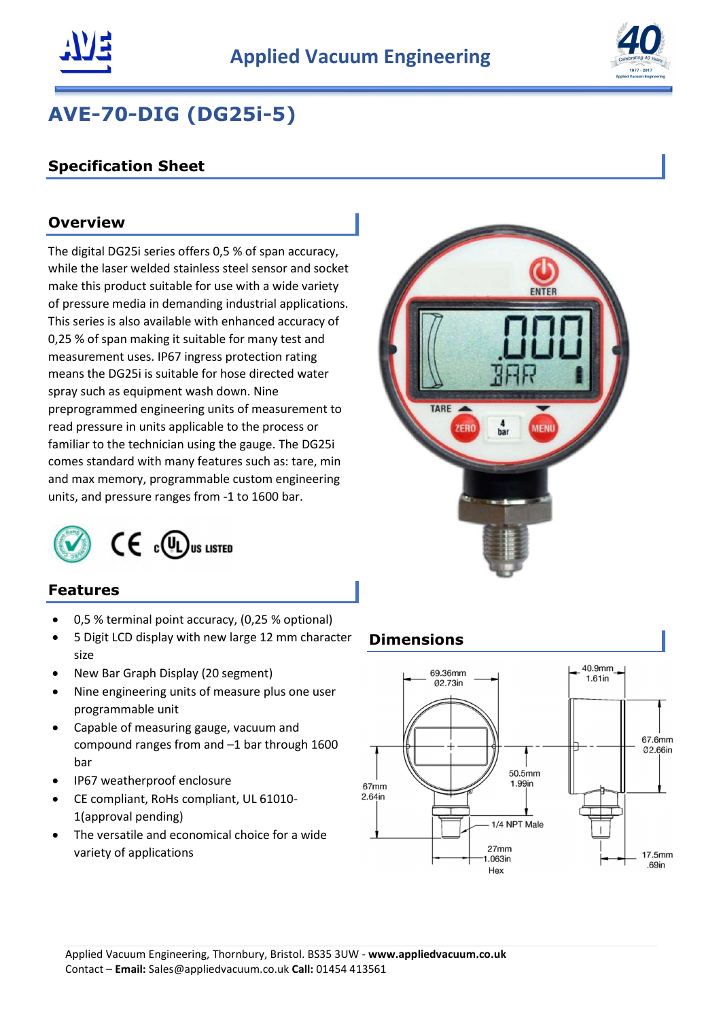



# AVE-70-DIG (DG25i-5)

# Specification Sheet

## **Overview**

The digital DG25i series offers 0,5 % of span accuracy, while the laser welded stainless steel sensor and socket make this product suitable for use with a wide variety of pressure media in demanding industrial applications. This series is also available with enhanced accuracy of 0,25 % of span making it suitable for many test and measurement uses. IP67 ingress protection rating means the DG25i is suitable for hose directed water spray such as equipment wash down. Nine preprogrammed engineering units of measurement to read pressure in units applicable to the process or familiar to the technician using the gauge. The DG25i comes standard with many features such as: tare, min and max memory, programmable custom engineering units, and pressure ranges from -1 to 1600 bar.



# $\mathsf{CE}$  c(UL) US LISTED

#### Features

- 0,5 % terminal point accuracy, (0,25 % optional)
- 5 Digit LCD display with new large 12 mm character size
- New Bar Graph Display (20 segment)
- Nine engineering units of measure plus one user programmable unit
- Capable of measuring gauge, vacuum and compound ranges from and –1 bar through 1600 bar
- IP67 weatherproof enclosure
- CE compliant, RoHs compliant, UL 61010- 1(approval pending)
- The versatile and economical choice for a wide variety of applications

#### Dimensions